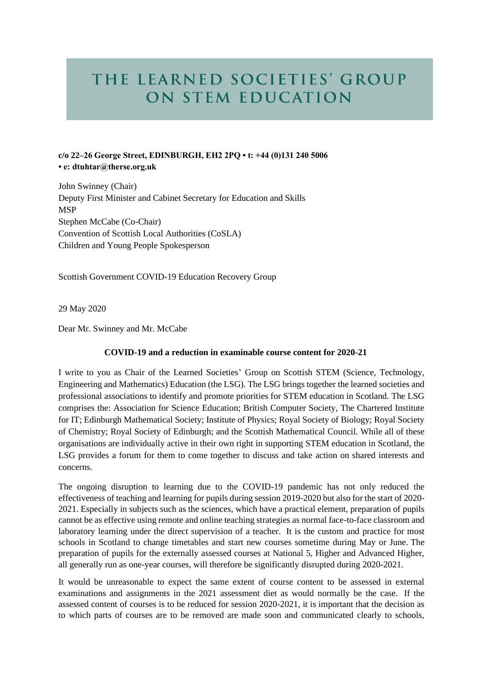## THE LEARNED SOCIETIES' GROUP ON STEM EDUCATION

## **c/o 22–26 George Street, EDINBURGH, EH2 2PQ • t: +44 (0)131 240 5006 • e: dtuhtar@therse.org.uk**

John Swinney (Chair) Deputy First Minister and Cabinet Secretary for Education and Skills MSP Stephen McCabe (Co-Chair) Convention of Scottish Local Authorities (CoSLA) Children and Young People Spokesperson

Scottish Government COVID-19 Education Recovery Group

29 May 2020

Dear Mr. Swinney and Mr. McCabe

## **COVID-19 and a reduction in examinable course content for 2020-21**

I write to you as Chair of the Learned Societies' Group on Scottish STEM (Science, Technology, Engineering and Mathematics) Education (the LSG). The LSG brings together the learned societies and professional associations to identify and promote priorities for STEM education in Scotland. The LSG comprises the: Association for Science Education; British Computer Society, The Chartered Institute for IT; Edinburgh Mathematical Society; Institute of Physics; Royal Society of Biology; Royal Society of Chemistry; Royal Society of Edinburgh; and the Scottish Mathematical Council. While all of these organisations are individually active in their own right in supporting STEM education in Scotland, the LSG provides a forum for them to come together to discuss and take action on shared interests and concerns.

The ongoing disruption to learning due to the COVID-19 pandemic has not only reduced the effectiveness of teaching and learning for pupils during session 2019-2020 but also for the start of 2020- 2021. Especially in subjects such as the sciences, which have a practical element, preparation of pupils cannot be as effective using remote and online teaching strategies as normal face-to-face classroom and laboratory learning under the direct supervision of a teacher. It is the custom and practice for most schools in Scotland to change timetables and start new courses sometime during May or June. The preparation of pupils for the externally assessed courses at National 5, Higher and Advanced Higher, all generally run as one-year courses, will therefore be significantly disrupted during 2020-2021.

It would be unreasonable to expect the same extent of course content to be assessed in external examinations and assignments in the 2021 assessment diet as would normally be the case. If the assessed content of courses is to be reduced for session 2020-2021, it is important that the decision as to which parts of courses are to be removed are made soon and communicated clearly to schools,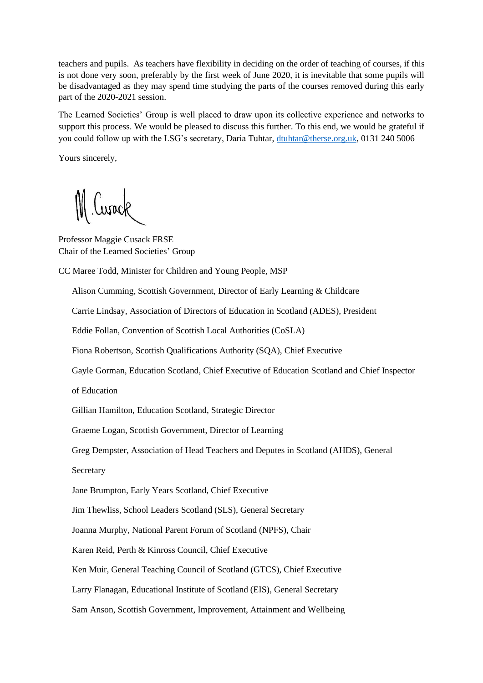teachers and pupils. As teachers have flexibility in deciding on the order of teaching of courses, if this is not done very soon, preferably by the first week of June 2020, it is inevitable that some pupils will be disadvantaged as they may spend time studying the parts of the courses removed during this early part of the 2020-2021 session.

The Learned Societies' Group is well placed to draw upon its collective experience and networks to support this process. We would be pleased to discuss this further. To this end, we would be grateful if you could follow up with the LSG's secretary, Daria Tuhtar, [dtuhtar@therse.org.uk,](mailto:dtuhtar@therse.org.uk) 0131 240 5006

Yours sincerely,

M Curack

Professor Maggie Cusack FRSE Chair of the Learned Societies' Group

CC Maree Todd, Minister for Children and Young People, MSP

Alison Cumming, Scottish Government, Director of Early Learning & Childcare

Carrie Lindsay, Association of Directors of Education in Scotland (ADES), President

Eddie Follan, Convention of Scottish Local Authorities (CoSLA)

Fiona Robertson, Scottish Qualifications Authority (SQA), Chief Executive

Gayle Gorman, Education Scotland, Chief Executive of Education Scotland and Chief Inspector

of Education

Gillian Hamilton, Education Scotland, Strategic Director

Graeme Logan, Scottish Government, Director of Learning

Greg Dempster, Association of Head Teachers and Deputes in Scotland (AHDS), General

**Secretary** 

Jane Brumpton, Early Years Scotland, Chief Executive

Jim Thewliss, School Leaders Scotland (SLS), General Secretary

Joanna Murphy, National Parent Forum of Scotland (NPFS), Chair

Karen Reid, Perth & Kinross Council, Chief Executive

Ken Muir, General Teaching Council of Scotland (GTCS), Chief Executive

Larry Flanagan, Educational Institute of Scotland (EIS), General Secretary

Sam Anson, Scottish Government, Improvement, Attainment and Wellbeing